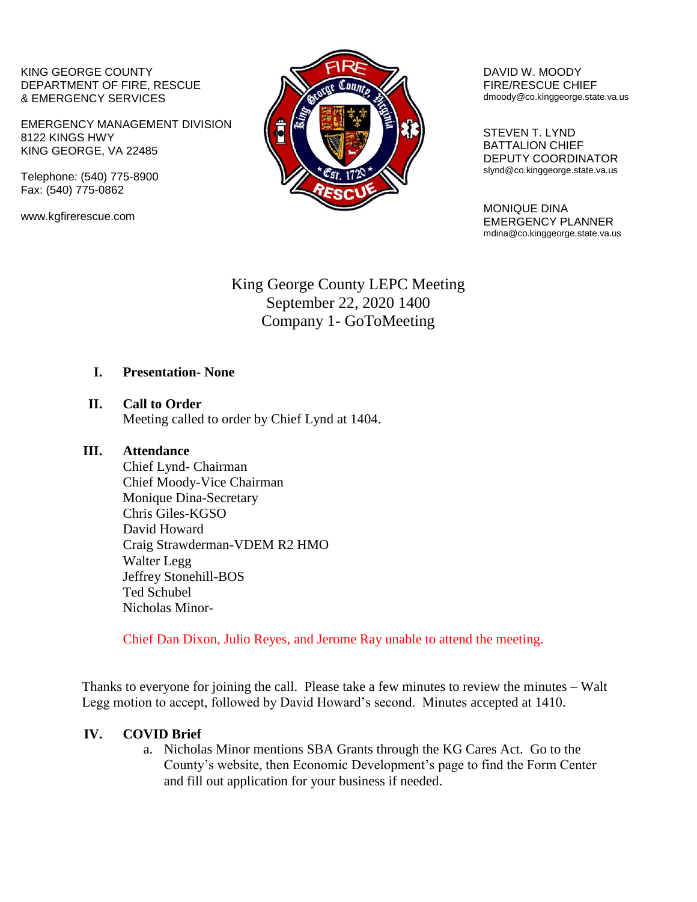KING GEORGE COUNTY DEPARTMENT OF FIRE, RESCUE & EMERGENCY SERVICES

EMERGENCY MANAGEMENT DIVISION 8122 KINGS HWY KING GEORGE, VA 22485

Telephone: (540) 775-8900 Fax: (540) 775-0862

www.kgfirerescue.com



DAVID W. MOODY FIRE/RESCUE CHIEF dmoody@co.kinggeorge.state.va.us

 STEVEN T. LYND BATTALION CHIEF DEPUTY COORDINATOR slynd@co.kinggeorge.state.va.us

MONIQUE DINA EMERGENCY PLANNER mdina@co.kinggeorge.state.va.us

# King George County LEPC Meeting September 22, 2020 1400 Company 1- GoToMeeting

### **I. Presentation- None**

**II. Call to Order** Meeting called to order by Chief Lynd at 1404.

#### **III. Attendance**

Chief Lynd- Chairman Chief Moody-Vice Chairman Monique Dina-Secretary Chris Giles-KGSO David Howard Craig Strawderman-VDEM R2 HMO Walter Legg Jeffrey Stonehill-BOS Ted Schubel Nicholas Minor-

Chief Dan Dixon, Julio Reyes, and Jerome Ray unable to attend the meeting.

Thanks to everyone for joining the call. Please take a few minutes to review the minutes – Walt Legg motion to accept, followed by David Howard's second. Minutes accepted at 1410.

### **IV. COVID Brief**

a. Nicholas Minor mentions SBA Grants through the KG Cares Act. Go to the County's website, then Economic Development's page to find the Form Center and fill out application for your business if needed.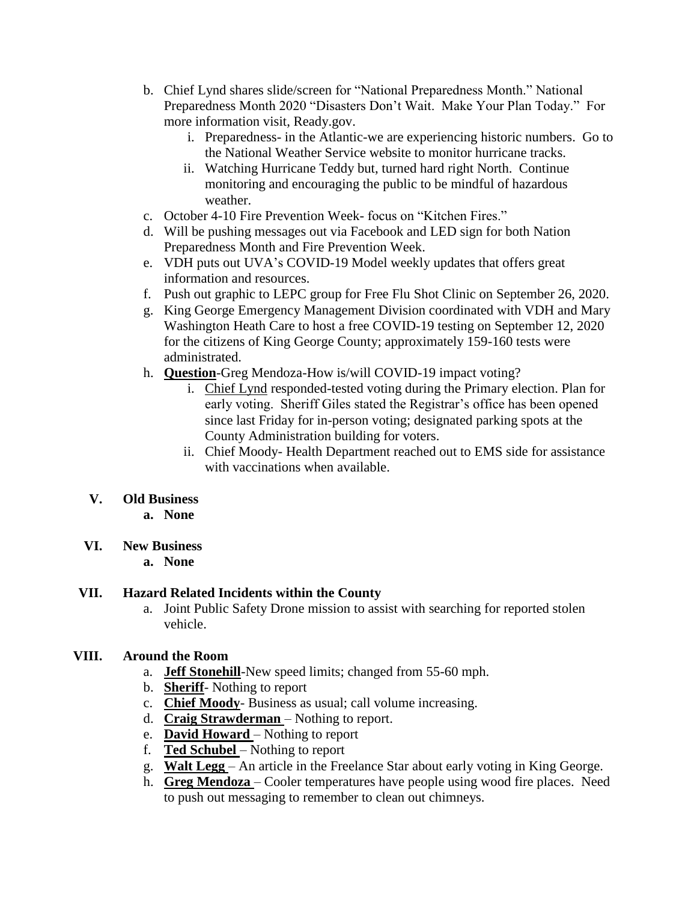- b. Chief Lynd shares slide/screen for "National Preparedness Month." National Preparedness Month 2020 "Disasters Don't Wait. Make Your Plan Today." For more information visit, Ready.gov.
	- i. Preparedness- in the Atlantic-we are experiencing historic numbers. Go to the National Weather Service website to monitor hurricane tracks.
	- ii. Watching Hurricane Teddy but, turned hard right North. Continue monitoring and encouraging the public to be mindful of hazardous weather.
- c. October 4-10 Fire Prevention Week- focus on "Kitchen Fires."
- d. Will be pushing messages out via Facebook and LED sign for both Nation Preparedness Month and Fire Prevention Week.
- e. VDH puts out UVA's COVID-19 Model weekly updates that offers great information and resources.
- f. Push out graphic to LEPC group for Free Flu Shot Clinic on September 26, 2020.
- g. King George Emergency Management Division coordinated with VDH and Mary Washington Heath Care to host a free COVID-19 testing on September 12, 2020 for the citizens of King George County; approximately 159-160 tests were administrated.
- h. **Question**-Greg Mendoza-How is/will COVID-19 impact voting?
	- i. Chief Lynd responded-tested voting during the Primary election. Plan for early voting. Sheriff Giles stated the Registrar's office has been opened since last Friday for in-person voting; designated parking spots at the County Administration building for voters.
	- ii. Chief Moody- Health Department reached out to EMS side for assistance with vaccinations when available.

### **V. Old Business**

- **a. None**
- **VI. New Business**
	- **a. None**

### **VII. Hazard Related Incidents within the County**

a. Joint Public Safety Drone mission to assist with searching for reported stolen vehicle.

### **VIII. Around the Room**

- a. **Jeff Stonehill**-New speed limits; changed from 55-60 mph.
- b. **Sheriff** Nothing to report
- c. **Chief Moody** Business as usual; call volume increasing.
- d. **Craig Strawderman**  Nothing to report.
- e. **David Howard**  Nothing to report
- f. **Ted Schubel**  Nothing to report
- g. **Walt Legg**  An article in the Freelance Star about early voting in King George.
- h. **Greg Mendoza**  Cooler temperatures have people using wood fire places. Need to push out messaging to remember to clean out chimneys.